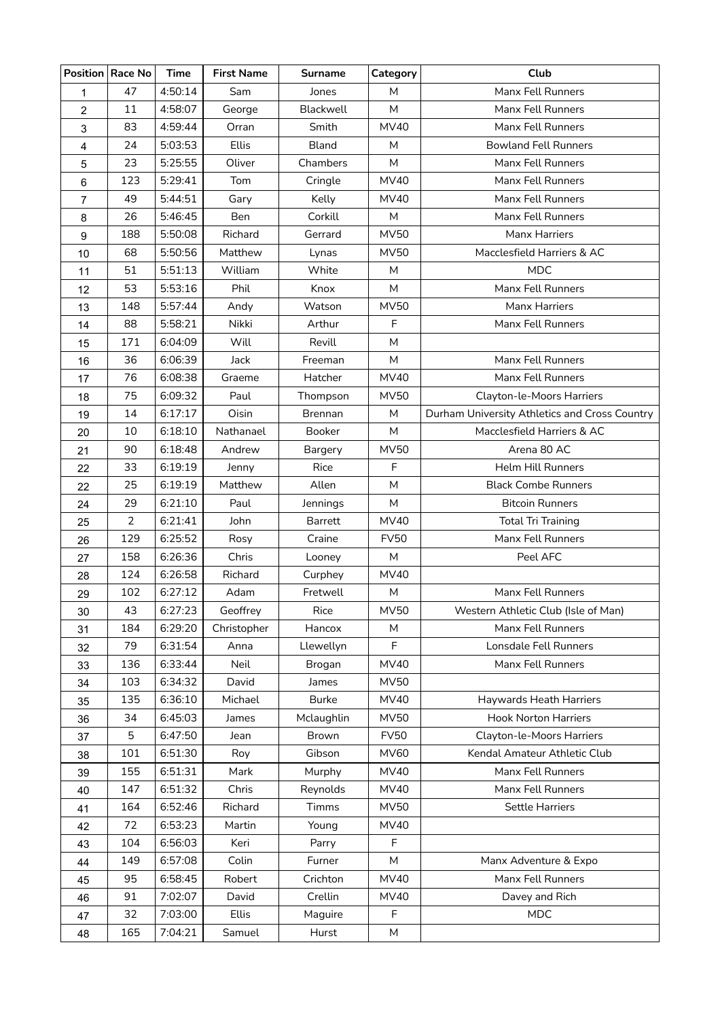|                | Position Race No | <b>Time</b> | <b>First Name</b> | <b>Surname</b> | Category     | Club                                          |
|----------------|------------------|-------------|-------------------|----------------|--------------|-----------------------------------------------|
| $\mathbf{1}$   | 47               | 4:50:14     | Sam               | Jones          | M            | Manx Fell Runners                             |
| $\overline{c}$ | 11               | 4:58:07     | George            | Blackwell      | M            | Manx Fell Runners                             |
| 3              | 83               | 4:59:44     | Orran             | Smith          | <b>MV40</b>  | Manx Fell Runners                             |
| 4              | 24               | 5:03:53     | <b>Ellis</b>      | <b>Bland</b>   | M            | <b>Bowland Fell Runners</b>                   |
| $\sqrt{5}$     | 23               | 5:25:55     | Oliver            | Chambers       | M            | Manx Fell Runners                             |
| 6              | 123              | 5:29:41     | Tom               | Cringle        | <b>MV40</b>  | Manx Fell Runners                             |
| $\overline{7}$ | 49               | 5:44:51     | Gary              | Kelly          | MV40         | Manx Fell Runners                             |
| 8              | 26               | 5:46:45     | Ben               | Corkill        | M            | Manx Fell Runners                             |
| 9              | 188              | 5:50:08     | Richard           | Gerrard        | <b>MV50</b>  | Manx Harriers                                 |
| 10             | 68               | 5:50:56     | Matthew           | Lynas          | <b>MV50</b>  | Macclesfield Harriers & AC                    |
| 11             | 51               | 5:51:13     | William           | White          | M            | <b>MDC</b>                                    |
| 12             | 53               | 5:53:16     | Phil              | Knox           | M            | Manx Fell Runners                             |
| 13             | 148              | 5:57:44     | Andy              | Watson         | <b>MV50</b>  | Manx Harriers                                 |
| 14             | 88               | 5:58:21     | Nikki             | Arthur         | F            | Manx Fell Runners                             |
| 15             | 171              | 6:04:09     | Will              | Revill         | M            |                                               |
| 16             | 36               | 6:06:39     | Jack              | Freeman        | M            | Manx Fell Runners                             |
| 17             | 76               | 6:08:38     | Graeme            | Hatcher        | <b>MV40</b>  | Manx Fell Runners                             |
| 18             | 75               | 6:09:32     | Paul              | Thompson       | <b>MV50</b>  | <b>Clayton-le-Moors Harriers</b>              |
| 19             | 14               | 6:17:17     | Oisin             | Brennan        | M            | Durham University Athletics and Cross Country |
| 20             | 10               | 6:18:10     | Nathanael         | Booker         | M            | Macclesfield Harriers & AC                    |
| 21             | 90               | 6:18:48     | Andrew            | Bargery        | <b>MV50</b>  | Arena 80 AC                                   |
| 22             | 33               | 6:19:19     | Jenny             | Rice           | F            | <b>Helm Hill Runners</b>                      |
| 22             | 25               | 6:19:19     | Matthew           | Allen          | M            | <b>Black Combe Runners</b>                    |
| 24             | 29               | 6:21:10     | Paul              | Jennings       | $\mathsf{M}$ | <b>Bitcoin Runners</b>                        |
| 25             | $\overline{2}$   | 6:21:41     | John              | <b>Barrett</b> | <b>MV40</b>  | <b>Total Tri Training</b>                     |
| 26             | 129              | 6:25:52     | Rosy              | Craine         | <b>FV50</b>  | Manx Fell Runners                             |
| 27             | 158              | 6:26:36     | Chris             | Looney         | M            | Peel AFC                                      |
| 28             | 124              | 6:26:58     | Richard           | Curphey        | <b>MV40</b>  |                                               |
| 29             | 102              | 6:27:12     | Adam              | Fretwell       | M            | Manx Fell Runners                             |
| 30             | 43               | 6:27:23     | Geoffrey          | Rice           | MV50         | Western Athletic Club (Isle of Man)           |
| 31             | 184              | 6:29:20     | Christopher       | Hancox         | M            | Manx Fell Runners                             |
| 32             | 79               | 6:31:54     | Anna              | Llewellyn      | F            | Lonsdale Fell Runners                         |
| 33             | 136              | 6:33:44     | Neil              | Brogan         | <b>MV40</b>  | Manx Fell Runners                             |
| 34             | 103              | 6:34:32     | David             | James          | <b>MV50</b>  |                                               |
| 35             | 135              | 6:36:10     | Michael           | <b>Burke</b>   | <b>MV40</b>  | Haywards Heath Harriers                       |
| 36             | 34               | 6:45:03     | James             | Mclaughlin     | <b>MV50</b>  | <b>Hook Norton Harriers</b>                   |
| 37             | 5                | 6:47:50     | Jean              | Brown          | <b>FV50</b>  | Clayton-le-Moors Harriers                     |
| 38             | 101              | 6:51:30     | Roy               | Gibson         | <b>MV60</b>  | Kendal Amateur Athletic Club                  |
| 39             | 155              | 6:51:31     | Mark              | Murphy         | <b>MV40</b>  | Manx Fell Runners                             |
| 40             | 147              | 6:51:32     | Chris             | Reynolds       | <b>MV40</b>  | Manx Fell Runners                             |
| 41             | 164              | 6:52:46     | Richard           | Timms          | <b>MV50</b>  | Settle Harriers                               |
| 42             | 72               | 6:53:23     | Martin            | Young          | <b>MV40</b>  |                                               |
| 43             | 104              | 6:56:03     | Keri              | Parry          | F            |                                               |
| 44             | 149              | 6:57:08     | Colin             | Furner         | M            | Manx Adventure & Expo                         |
| 45             | 95               | 6:58:45     | Robert            | Crichton       | <b>MV40</b>  | Manx Fell Runners                             |
| 46             | 91               | 7:02:07     | David             | Crellin        | <b>MV40</b>  | Davey and Rich                                |
| 47             | 32               | 7:03:00     | <b>Ellis</b>      | Maguire        | F            | <b>MDC</b>                                    |
| 48             | 165              | 7:04:21     | Samuel            | Hurst          | M            |                                               |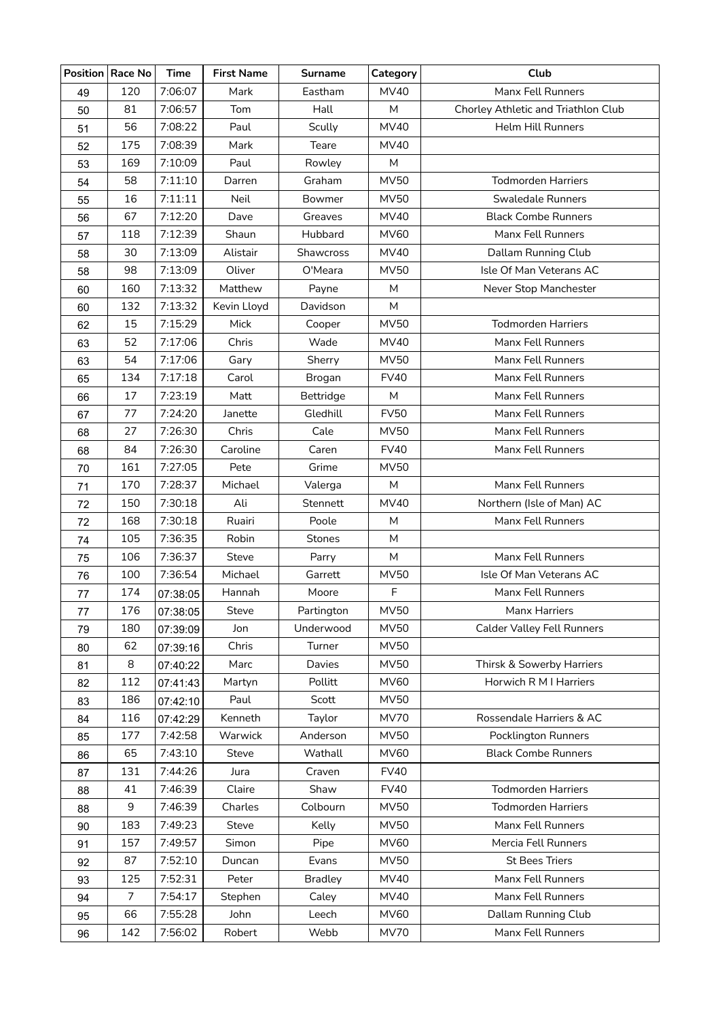|    | Position Race No | <b>Time</b> | <b>First Name</b> | <b>Surname</b> | Category    | Club                                |
|----|------------------|-------------|-------------------|----------------|-------------|-------------------------------------|
| 49 | 120              | 7:06:07     | Mark              | Eastham        | <b>MV40</b> | Manx Fell Runners                   |
| 50 | 81               | 7:06:57     | Tom               | Hall           | M           | Chorley Athletic and Triathlon Club |
| 51 | 56               | 7:08:22     | Paul              | Scully         | <b>MV40</b> | <b>Helm Hill Runners</b>            |
| 52 | 175              | 7:08:39     | Mark              | Teare          | <b>MV40</b> |                                     |
| 53 | 169              | 7:10:09     | Paul              | Rowley         | M           |                                     |
| 54 | 58               | 7:11:10     | Darren            | Graham         | <b>MV50</b> | <b>Todmorden Harriers</b>           |
| 55 | 16               | 7:11:11     | Neil              | Bowmer         | <b>MV50</b> | Swaledale Runners                   |
| 56 | 67               | 7:12:20     | Dave              | Greaves        | <b>MV40</b> | <b>Black Combe Runners</b>          |
| 57 | 118              | 7:12:39     | Shaun             | Hubbard        | <b>MV60</b> | Manx Fell Runners                   |
| 58 | 30               | 7:13:09     | Alistair          | Shawcross      | <b>MV40</b> | Dallam Running Club                 |
| 58 | 98               | 7:13:09     | Oliver            | O'Meara        | <b>MV50</b> | Isle Of Man Veterans AC             |
| 60 | 160              | 7:13:32     | Matthew           | Payne          | M           | Never Stop Manchester               |
| 60 | 132              | 7:13:32     | Kevin Lloyd       | Davidson       | M           |                                     |
| 62 | 15               | 7:15:29     | Mick              | Cooper         | <b>MV50</b> | <b>Todmorden Harriers</b>           |
| 63 | 52               | 7:17:06     | Chris             | Wade           | <b>MV40</b> | Manx Fell Runners                   |
| 63 | 54               | 7:17:06     | Gary              | Sherry         | <b>MV50</b> | Manx Fell Runners                   |
| 65 | 134              | 7:17:18     | Carol             | Brogan         | <b>FV40</b> | Manx Fell Runners                   |
| 66 | 17               | 7:23:19     | Matt              | Bettridge      | M           | Manx Fell Runners                   |
| 67 | 77               | 7:24:20     | Janette           | Gledhill       | <b>FV50</b> | Manx Fell Runners                   |
| 68 | 27               | 7:26:30     | Chris             | Cale           | <b>MV50</b> | Manx Fell Runners                   |
| 68 | 84               | 7:26:30     | Caroline          | Caren          | <b>FV40</b> | Manx Fell Runners                   |
| 70 | 161              | 7:27:05     | Pete              | Grime          | <b>MV50</b> |                                     |
| 71 | 170              | 7:28:37     | Michael           | Valerga        | M           | Manx Fell Runners                   |
| 72 | 150              | 7:30:18     | Ali               | Stennett       | <b>MV40</b> | Northern (Isle of Man) AC           |
| 72 | 168              | 7:30:18     | Ruairi            | Poole          | M           | Manx Fell Runners                   |
| 74 | 105              | 7:36:35     | Robin             | Stones         | M           |                                     |
| 75 | 106              | 7:36:37     | <b>Steve</b>      | Parry          | M           | Manx Fell Runners                   |
| 76 | 100              | 7:36:54     | Michael           | Garrett        | <b>MV50</b> | Isle Of Man Veterans AC             |
| 77 | 174              | 07:38:05    | Hannah            | Moore          | F           | Manx Fell Runners                   |
| 77 | 176              | 07:38:05    | <b>Steve</b>      | Partington     | MV50        | Manx Harriers                       |
| 79 | 180              | 07:39:09    | Jon               | Underwood      | <b>MV50</b> | Calder Valley Fell Runners          |
| 80 | 62               | 07:39:16    | Chris             | Turner         | <b>MV50</b> |                                     |
| 81 | 8                | 07:40:22    | Marc              | Davies         | <b>MV50</b> | Thirsk & Sowerby Harriers           |
| 82 | 112              | 07:41:43    | Martyn            | Pollitt        | <b>MV60</b> | Horwich R M I Harriers              |
| 83 | 186              | 07:42:10    | Paul              | Scott          | <b>MV50</b> |                                     |
| 84 | 116              | 07:42:29    | Kenneth           | Taylor         | <b>MV70</b> | Rossendale Harriers & AC            |
| 85 | 177              | 7:42:58     | Warwick           | Anderson       | <b>MV50</b> | <b>Pocklington Runners</b>          |
| 86 | 65               | 7:43:10     | Steve             | Wathall        | <b>MV60</b> | <b>Black Combe Runners</b>          |
| 87 | 131              | 7:44:26     | Jura              | Craven         | <b>FV40</b> |                                     |
| 88 | 41               | 7:46:39     | Claire            | Shaw           | <b>FV40</b> | <b>Todmorden Harriers</b>           |
| 88 | 9                | 7:46:39     | Charles           | Colbourn       | <b>MV50</b> | <b>Todmorden Harriers</b>           |
| 90 | 183              | 7:49:23     | Steve             | Kelly          | <b>MV50</b> | Manx Fell Runners                   |
| 91 | 157              | 7:49:57     | Simon             | Pipe           | <b>MV60</b> | Mercia Fell Runners                 |
| 92 | 87               | 7:52:10     | Duncan            | Evans          | <b>MV50</b> | <b>St Bees Triers</b>               |
| 93 | 125              | 7:52:31     | Peter             | <b>Bradley</b> | <b>MV40</b> | Manx Fell Runners                   |
| 94 | $\overline{7}$   | 7:54:17     | Stephen           | Caley          | <b>MV40</b> | Manx Fell Runners                   |
| 95 | 66               | 7:55:28     | John              | Leech          | <b>MV60</b> | Dallam Running Club                 |
| 96 | 142              | 7:56:02     | Robert            | Webb           | <b>MV70</b> | Manx Fell Runners                   |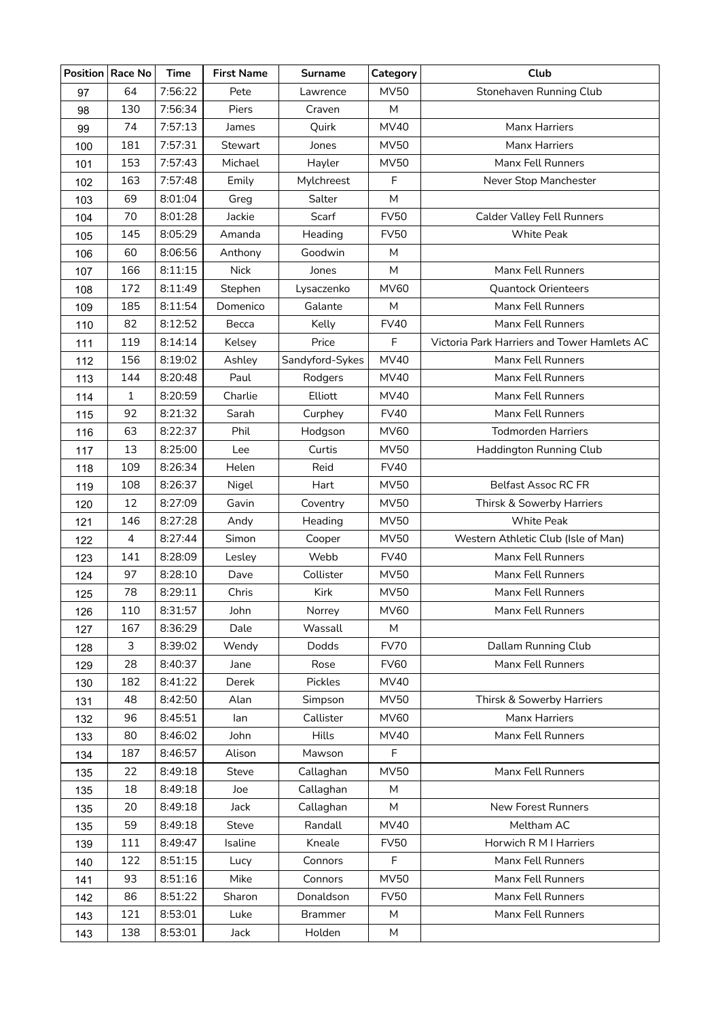|     | Position Race No | <b>Time</b> | <b>First Name</b> | <b>Surname</b>  | Category    | Club                                        |
|-----|------------------|-------------|-------------------|-----------------|-------------|---------------------------------------------|
| 97  | 64               | 7:56:22     | Pete              | Lawrence        | <b>MV50</b> | Stonehaven Running Club                     |
| 98  | 130              | 7:56:34     | Piers             | Craven          | M           |                                             |
| 99  | 74               | 7:57:13     | James             | Quirk           | <b>MV40</b> | Manx Harriers                               |
| 100 | 181              | 7:57:31     | Stewart           | Jones           | <b>MV50</b> | Manx Harriers                               |
| 101 | 153              | 7:57:43     | Michael           | Hayler          | <b>MV50</b> | Manx Fell Runners                           |
| 102 | 163              | 7:57:48     | Emily             | Mylchreest      | F           | Never Stop Manchester                       |
| 103 | 69               | 8:01:04     | Greg              | Salter          | M           |                                             |
| 104 | 70               | 8:01:28     | Jackie            | Scarf           | <b>FV50</b> | <b>Calder Valley Fell Runners</b>           |
| 105 | 145              | 8:05:29     | Amanda            | Heading         | <b>FV50</b> | <b>White Peak</b>                           |
| 106 | 60               | 8:06:56     | Anthony           | Goodwin         | M           |                                             |
| 107 | 166              | 8:11:15     | <b>Nick</b>       | Jones           | M           | Manx Fell Runners                           |
| 108 | 172              | 8:11:49     | Stephen           | Lysaczenko      | <b>MV60</b> | <b>Quantock Orienteers</b>                  |
| 109 | 185              | 8:11:54     | Domenico          | Galante         | M           | Manx Fell Runners                           |
| 110 | 82               | 8:12:52     | Becca             | Kelly           | <b>FV40</b> | Manx Fell Runners                           |
| 111 | 119              | 8:14:14     | Kelsey            | Price           | F           | Victoria Park Harriers and Tower Hamlets AC |
| 112 | 156              | 8:19:02     | Ashley            | Sandyford-Sykes | <b>MV40</b> | Manx Fell Runners                           |
| 113 | 144              | 8:20:48     | Paul              | Rodgers         | <b>MV40</b> | Manx Fell Runners                           |
| 114 | $\mathbf{1}$     | 8:20:59     | Charlie           | Elliott         | <b>MV40</b> | Manx Fell Runners                           |
| 115 | 92               | 8:21:32     | Sarah             | Curphey         | <b>FV40</b> | Manx Fell Runners                           |
| 116 | 63               | 8:22:37     | Phil              | Hodgson         | <b>MV60</b> | <b>Todmorden Harriers</b>                   |
| 117 | 13               | 8:25:00     | Lee               | Curtis          | <b>MV50</b> | Haddington Running Club                     |
| 118 | 109              | 8:26:34     | Helen             | Reid            | <b>FV40</b> |                                             |
| 119 | 108              | 8:26:37     | Nigel             | Hart            | <b>MV50</b> | <b>Belfast Assoc RC FR</b>                  |
| 120 | 12               | 8:27:09     | Gavin             | Coventry        | <b>MV50</b> | Thirsk & Sowerby Harriers                   |
| 121 | 146              | 8:27:28     | Andy              | Heading         | <b>MV50</b> | <b>White Peak</b>                           |
| 122 | $\overline{4}$   | 8:27:44     | Simon             | Cooper          | <b>MV50</b> | Western Athletic Club (Isle of Man)         |
| 123 | 141              | 8:28:09     | Lesley            | Webb            | <b>FV40</b> | Manx Fell Runners                           |
| 124 | 97               | 8:28:10     | Dave              | Collister       | <b>MV50</b> | Manx Fell Runners                           |
| 125 | 78               | 8:29:11     | Chris             | Kirk            | <b>MV50</b> | Manx Fell Runners                           |
| 126 | 110              | 8:31:57     | John              | Norrey          | <b>MV60</b> | Manx Fell Runners                           |
| 127 | 167              | 8:36:29     | Dale              | Wassall         | M           |                                             |
| 128 | 3                | 8:39:02     | Wendy             | Dodds           | <b>FV70</b> | Dallam Running Club                         |
| 129 | 28               | 8:40:37     | Jane              | Rose            | <b>FV60</b> | Manx Fell Runners                           |
| 130 | 182              | 8:41:22     | Derek             | Pickles         | <b>MV40</b> |                                             |
| 131 | 48               | 8:42:50     | Alan              | Simpson         | <b>MV50</b> | Thirsk & Sowerby Harriers                   |
| 132 | 96               | 8:45:51     | lan               | Callister       | <b>MV60</b> | Manx Harriers                               |
| 133 | 80               | 8:46:02     | John              | Hills           | <b>MV40</b> | Manx Fell Runners                           |
| 134 | 187              | 8:46:57     | Alison            | Mawson          | F           |                                             |
| 135 | 22               | 8:49:18     | Steve             | Callaghan       | <b>MV50</b> | Manx Fell Runners                           |
| 135 | 18               | 8:49:18     | Joe               | Callaghan       | M           |                                             |
| 135 | 20               | 8:49:18     | Jack              | Callaghan       | M           | New Forest Runners                          |
| 135 | 59               | 8:49:18     | <b>Steve</b>      | Randall         | <b>MV40</b> | Meltham AC                                  |
| 139 | 111              | 8:49:47     | Isaline           | Kneale          | <b>FV50</b> | Horwich R M I Harriers                      |
| 140 | 122              | 8:51:15     | Lucy              | Connors         | F           | Manx Fell Runners                           |
| 141 | 93               | 8:51:16     | Mike              | Connors         | <b>MV50</b> | Manx Fell Runners                           |
| 142 | 86               | 8:51:22     | Sharon            | Donaldson       | <b>FV50</b> | Manx Fell Runners                           |
| 143 | 121              | 8:53:01     | Luke              | <b>Brammer</b>  | M           | Manx Fell Runners                           |
| 143 | 138              | 8:53:01     | Jack              | Holden          | M           |                                             |